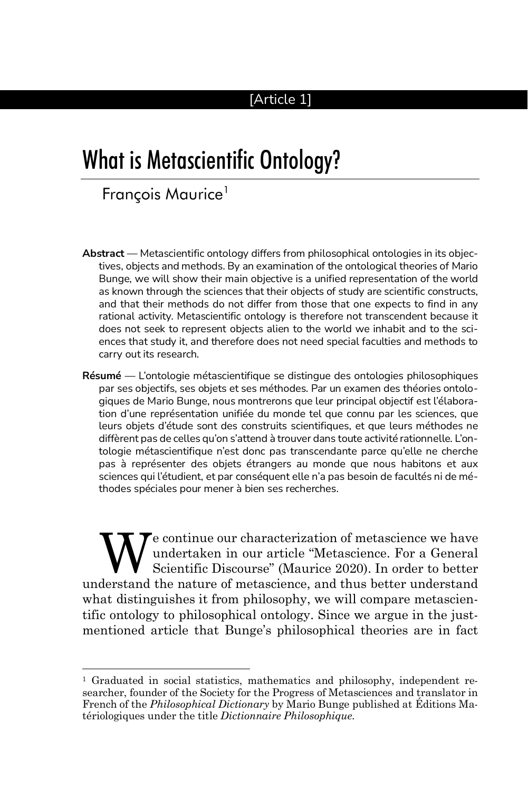## [Article 1]

# What is Metascientific Ontology?

# François Maurice<sup>1</sup>

- **Abstract** Metascientific ontology differs from philosophical ontologies in its objectives, objects and methods. By an examination of the ontological theories of Mario Bunge, we will show their main objective is a unified representation of the world as known through the sciences that their objects of study are scientific constructs, and that their methods do not differ from those that one expects to find in any rational activity. Metascientific ontology is therefore not transcendent because it does not seek to represent objects alien to the world we inhabit and to the sciences that study it, and therefore does not need special faculties and methods to carry out its research.
- **Résumé** L'ontologie métascientifique se distingue des ontologies philosophiques par ses objectifs, ses objets et ses méthodes. Par un examen des théories ontologiques de Mario Bunge, nous montrerons que leur principal objectif est l'élaboration d'une représentation unifiée du monde tel que connu par les sciences, que leurs objets d'étude sont des construits scientifiques, et que leurs méthodes ne diffèrent pas de celles qu'on s'attend à trouver dans toute activité rationnelle. L'ontologie métascientifique n'est donc pas transcendante parce qu'elle ne cherche pas à représenter des objets étrangers au monde que nous habitons et aux sciences qui l'étudient, et par conséquent elle n'a pas besoin de facultés ni de méthodes spéciales pour mener à bien ses recherches.

e continue our characterization of metascience we have undertaken in our article "Metascience. For a General Scientific Discourse" (Maurice 2020). In order to better understand the nature of metascience, and thus better understand what distinguishes it from philosophy, we will compare metascientific ontology to philosophical ontology. Since we argue in the justmentioned article that Bunge's philosophical theories are in fact W

<sup>1</sup> Graduated in social statistics, mathematics and philosophy, independent researcher, founder of the Society for the Progress of Metasciences and translator in French of the *Philosophical Dictionary* by Mario Bunge published at Éditions Matériologiques under the title *Dictionnaire Philosophique*.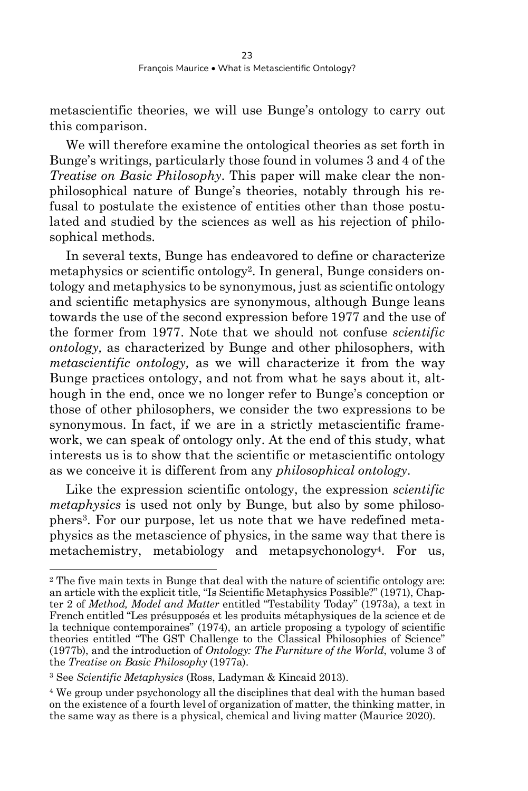metascientific theories, we will use Bunge's ontology to carry out this comparison.

We will therefore examine the ontological theories as set forth in Bunge's writings, particularly those found in volumes 3 and 4 of the *Treatise on Basic Philosophy*. This paper will make clear the nonphilosophical nature of Bunge's theories, notably through his refusal to postulate the existence of entities other than those postulated and studied by the sciences as well as his rejection of philosophical methods.

In several texts, Bunge has endeavored to define or characterize metaphysics or scientific ontology<sup>2</sup> . In general, Bunge considers ontology and metaphysics to be synonymous, just as scientific ontology and scientific metaphysics are synonymous, although Bunge leans towards the use of the second expression before 1977 and the use of the former from 1977. Note that we should not confuse *scientific ontology,* as characterized by Bunge and other philosophers, with *metascientific ontology,* as we will characterize it from the way Bunge practices ontology, and not from what he says about it, although in the end, once we no longer refer to Bunge's conception or those of other philosophers, we consider the two expressions to be synonymous. In fact, if we are in a strictly metascientific framework, we can speak of ontology only. At the end of this study, what interests us is to show that the scientific or metascientific ontology as we conceive it is different from any *philosophical ontology*.

Like the expression scientific ontology, the expression *scientific metaphysics* is used not only by Bunge, but also by some philosophers<sup>3</sup> . For our purpose, let us note that we have redefined metaphysics as the metascience of physics, in the same way that there is metachemistry, metabiology and metapsychonology<sup>4</sup>. For us,

<sup>2</sup> The five main texts in Bunge that deal with the nature of scientific ontology are: an article with the explicit title, "Is Scientific Metaphysics Possible?" (1971), Chapter 2 of *Method, Model and Matter* entitled "Testability Today" (1973a), a text in French entitled "Les présupposés et les produits métaphysiques de la science et de la technique contemporaines" (1974), an article proposing a typology of scientific theories entitled "The GST Challenge to the Classical Philosophies of Science" (1977b), and the introduction of *Ontology: The Furniture of the World*, volume 3 of the *Treatise on Basic Philosophy* (1977a).

<sup>3</sup> See *Scientific Metaphysics* (Ross, Ladyman & Kincaid 2013).

<sup>4</sup> We group under psychonology all the disciplines that deal with the human based on the existence of a fourth level of organization of matter, the thinking matter, in the same way as there is a physical, chemical and living matter (Maurice 2020).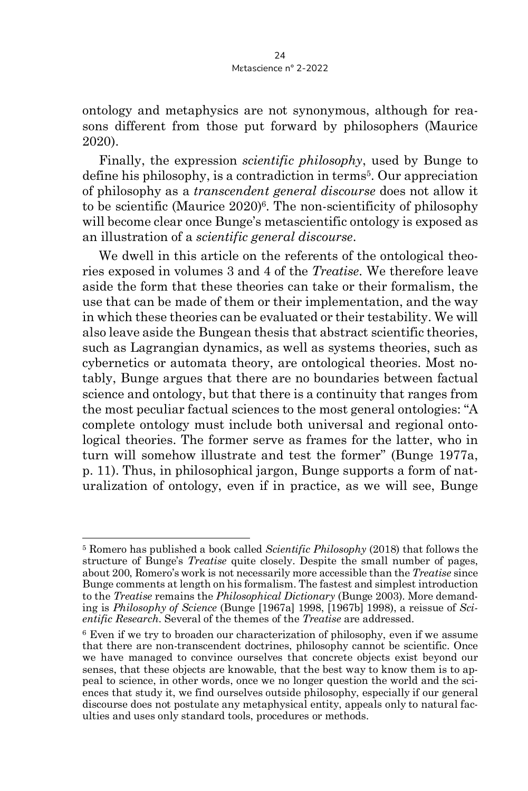ontology and metaphysics are not synonymous, although for reasons different from those put forward by philosophers (Maurice 2020).

Finally, the expression *scientific philosophy*, used by Bunge to define his philosophy, is a contradiction in terms<sup>5</sup> . Our appreciation of philosophy as a *transcendent general discourse* does not allow it to be scientific (Maurice 2020)<sup>6</sup>. The non-scientificity of philosophy will become clear once Bunge's metascientific ontology is exposed as an illustration of a *scientific general discourse*.

We dwell in this article on the referents of the ontological theories exposed in volumes 3 and 4 of the *Treatise*. We therefore leave aside the form that these theories can take or their formalism, the use that can be made of them or their implementation, and the way in which these theories can be evaluated or their testability. We will also leave aside the Bungean thesis that abstract scientific theories, such as Lagrangian dynamics, as well as systems theories, such as cybernetics or automata theory, are ontological theories. Most notably, Bunge argues that there are no boundaries between factual science and ontology, but that there is a continuity that ranges from the most peculiar factual sciences to the most general ontologies: "A complete ontology must include both universal and regional ontological theories. The former serve as frames for the latter, who in turn will somehow illustrate and test the former" (Bunge 1977a, p. 11). Thus, in philosophical jargon, Bunge supports a form of naturalization of ontology, even if in practice, as we will see, Bunge

<sup>5</sup> Romero has published a book called *Scientific Philosophy* (2018) that follows the structure of Bunge's *Treatise* quite closely. Despite the small number of pages, about 200, Romero's work is not necessarily more accessible than the *Treatise* since Bunge comments at length on his formalism. The fastest and simplest introduction to the *Treatise* remains the *Philosophical Dictionary* (Bunge 2003). More demanding is *Philosophy of Science* (Bunge [1967a] 1998, [1967b] 1998), a reissue of *Scientific Research*. Several of the themes of the *Treatise* are addressed.

<sup>6</sup> Even if we try to broaden our characterization of philosophy, even if we assume that there are non-transcendent doctrines, philosophy cannot be scientific. Once we have managed to convince ourselves that concrete objects exist beyond our senses, that these objects are knowable, that the best way to know them is to appeal to science, in other words, once we no longer question the world and the sciences that study it, we find ourselves outside philosophy, especially if our general discourse does not postulate any metaphysical entity, appeals only to natural faculties and uses only standard tools, procedures or methods.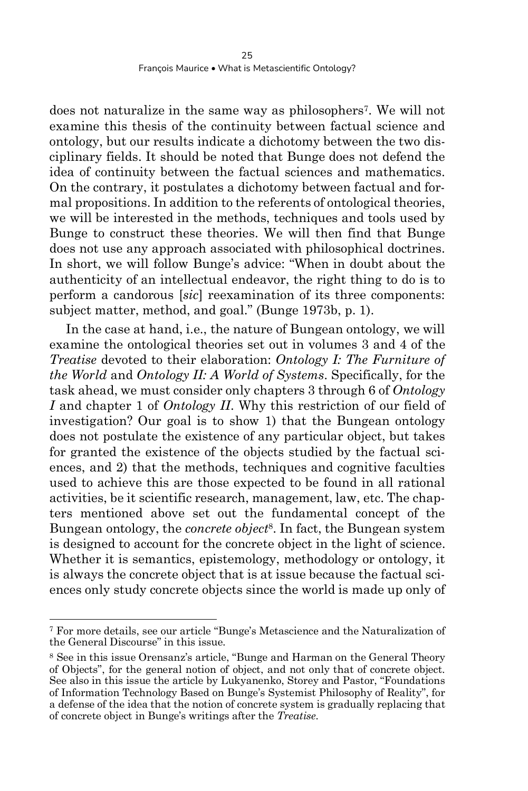does not naturalize in the same way as philosophers<sup>7</sup>. We will not examine this thesis of the continuity between factual science and ontology, but our results indicate a dichotomy between the two disciplinary fields. It should be noted that Bunge does not defend the idea of continuity between the factual sciences and mathematics. On the contrary, it postulates a dichotomy between factual and formal propositions. In addition to the referents of ontological theories, we will be interested in the methods, techniques and tools used by Bunge to construct these theories. We will then find that Bunge does not use any approach associated with philosophical doctrines. In short, we will follow Bunge's advice: "When in doubt about the authenticity of an intellectual endeavor, the right thing to do is to perform a candorous [*sic*] reexamination of its three components: subject matter, method, and goal." (Bunge 1973b, p. 1).

In the case at hand, i.e., the nature of Bungean ontology, we will examine the ontological theories set out in volumes 3 and 4 of the *Treatise* devoted to their elaboration: *Ontology I: The Furniture of the World* and *Ontology II: A World of Systems*. Specifically, for the task ahead, we must consider only chapters 3 through 6 of *Ontology I* and chapter 1 of *Ontology II*. Why this restriction of our field of investigation? Our goal is to show 1) that the Bungean ontology does not postulate the existence of any particular object, but takes for granted the existence of the objects studied by the factual sciences, and 2) that the methods, techniques and cognitive faculties used to achieve this are those expected to be found in all rational activities, be it scientific research, management, law, etc. The chapters mentioned above set out the fundamental concept of the Bungean ontology, the *concrete object*<sup>8</sup> . In fact, the Bungean system is designed to account for the concrete object in the light of science. Whether it is semantics, epistemology, methodology or ontology, it is always the concrete object that is at issue because the factual sciences only study concrete objects since the world is made up only of

<sup>7</sup> For more details, see our article "Bunge's Metascience and the Naturalization of the General Discourse" in this issue.

<sup>8</sup> See in this issue Orensanz's article, "Bunge and Harman on the General Theory of Objects", for the general notion of object, and not only that of concrete object. See also in this issue the article by Lukyanenko, Storey and Pastor, "Foundations of Information Technology Based on Bunge's Systemist Philosophy of Reality", for a defense of the idea that the notion of concrete system is gradually replacing that of concrete object in Bunge's writings after the *Treatise*.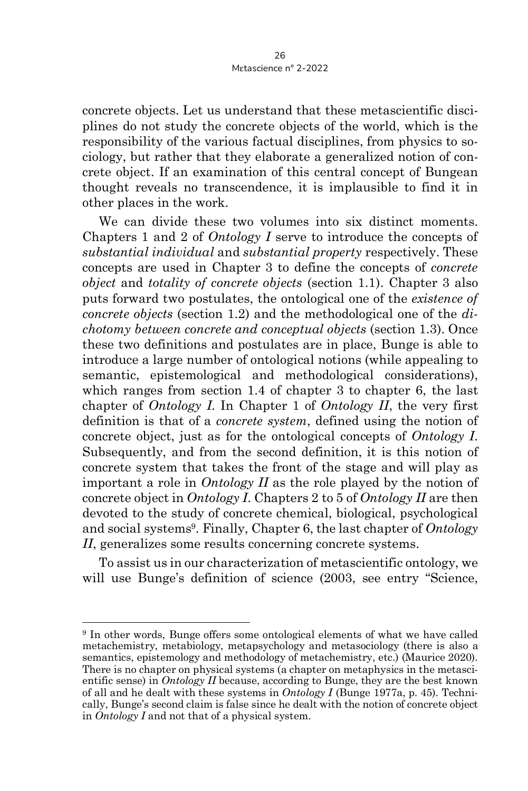concrete objects. Let us understand that these metascientific disciplines do not study the concrete objects of the world, which is the responsibility of the various factual disciplines, from physics to sociology, but rather that they elaborate a generalized notion of concrete object. If an examination of this central concept of Bungean thought reveals no transcendence, it is implausible to find it in other places in the work.

We can divide these two volumes into six distinct moments. Chapters 1 and 2 of *Ontology I* serve to introduce the concepts of *substantial individual* and *substantial property* respectively. These concepts are used in Chapter 3 to define the concepts of *concrete object* and *totality of concrete objects* (section 1.1). Chapter 3 also puts forward two postulates, the ontological one of the *existence of concrete objects* (section 1.2) and the methodological one of the *dichotomy between concrete and conceptual objects* (section 1.3). Once these two definitions and postulates are in place, Bunge is able to introduce a large number of ontological notions (while appealing to semantic, epistemological and methodological considerations), which ranges from section 1.4 of chapter 3 to chapter 6, the last chapter of *Ontology I*. In Chapter 1 of *Ontology II*, the very first definition is that of a *concrete system*, defined using the notion of concrete object, just as for the ontological concepts of *Ontology I*. Subsequently, and from the second definition, it is this notion of concrete system that takes the front of the stage and will play as important a role in *Ontology II* as the role played by the notion of concrete object in *Ontology I*. Chapters 2 to 5 of *Ontology II* are then devoted to the study of concrete chemical, biological, psychological and social systems<sup>9</sup> . Finally, Chapter 6, the last chapter of *Ontology II*, generalizes some results concerning concrete systems.

To assist us in our characterization of metascientific ontology, we will use Bunge's definition of science (2003, see entry "Science,

<sup>9</sup> In other words, Bunge offers some ontological elements of what we have called metachemistry, metabiology, metapsychology and metasociology (there is also a semantics, epistemology and methodology of metachemistry, etc.) (Maurice 2020). There is no chapter on physical systems (a chapter on metaphysics in the metascientific sense) in *Ontology II* because, according to Bunge, they are the best known of all and he dealt with these systems in *Ontology I* (Bunge 1977a, p. 45). Technically, Bunge's second claim is false since he dealt with the notion of concrete object in *Ontology I* and not that of a physical system.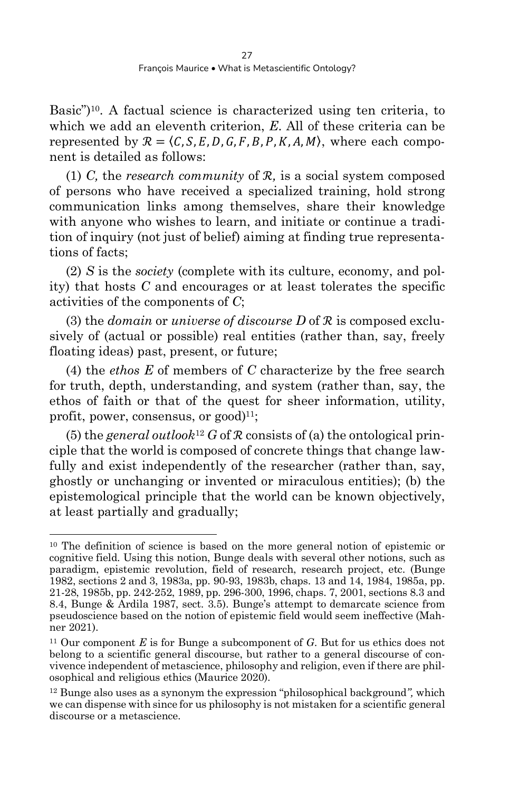Basic")10. A factual science is characterized using ten criteria, to which we add an eleventh criterion, *E*. All of these criteria can be represented by  $\mathcal{R} = \langle C, S, E, D, G, F, B, P, K, A, M \rangle$ , where each component is detailed as follows:

(1) *C,* the *research community* of ℛ*,* is a social system composed of persons who have received a specialized training, hold strong communication links among themselves, share their knowledge with anyone who wishes to learn, and initiate or continue a tradition of inquiry (not just of belief) aiming at finding true representations of facts;

(2) *S* is the *society* (complete with its culture, economy, and polity) that hosts *C* and encourages or at least tolerates the specific activities of the components of *C*;

(3) the *domain* or *universe of discourse D* of ℛ is composed exclusively of (actual or possible) real entities (rather than, say, freely floating ideas) past, present, or future;

(4) the *ethos E* of members of *C* characterize by the free search for truth, depth, understanding, and system (rather than, say, the ethos of faith or that of the quest for sheer information, utility, profit, power, consensus, or  $\text{good}$ <sup>11</sup>;

(5) the *general outlook*<sup>12</sup> *G* of  $\mathcal R$  consists of (a) the ontological principle that the world is composed of concrete things that change lawfully and exist independently of the researcher (rather than, say, ghostly or unchanging or invented or miraculous entities); (b) the epistemological principle that the world can be known objectively, at least partially and gradually;

<sup>10</sup> The definition of science is based on the more general notion of epistemic or cognitive field. Using this notion, Bunge deals with several other notions, such as paradigm, epistemic revolution, field of research, research project, etc. (Bunge 1982, sections 2 and 3, 1983a, pp. 90-93, 1983b, chaps. 13 and 14, 1984, 1985a, pp. 21-28, 1985b, pp. 242-252, 1989, pp. 296-300, 1996, chaps. 7, 2001, sections 8.3 and 8.4, Bunge & Ardila 1987, sect. 3.5). Bunge's attempt to demarcate science from pseudoscience based on the notion of epistemic field would seem ineffective (Mahner 2021).

<sup>11</sup> Our component *E* is for Bunge a subcomponent of *G*. But for us ethics does not belong to a scientific general discourse, but rather to a general discourse of convivence independent of metascience, philosophy and religion, even if there are philosophical and religious ethics (Maurice 2020).

<sup>12</sup> Bunge also uses as a synonym the expression "philosophical background*",* which we can dispense with since for us philosophy is not mistaken for a scientific general discourse or a metascience.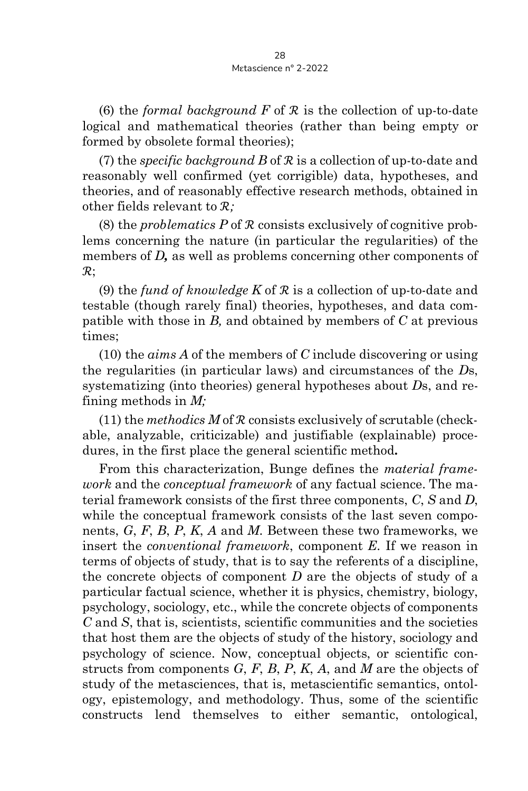(6) the *formal background*  $F$  of  $\mathcal R$  is the collection of up-to-date logical and mathematical theories (rather than being empty or formed by obsolete formal theories);

(7) the *specific background B* of ℛ is a collection of up-to-date and reasonably well confirmed (yet corrigible) data, hypotheses, and theories, and of reasonably effective research methods, obtained in other fields relevant to ℛ*;*

(8) the *problematics P* of ℛ consists exclusively of cognitive problems concerning the nature (in particular the regularities) of the members of *D*, as well as problems concerning other components of  $\mathcal{R}$ :

(9) the *fund of knowledge K* of ℛ is a collection of up-to-date and testable (though rarely final) theories, hypotheses, and data compatible with those in *B,* and obtained by members of *C* at previous times;

(10) the *aims A* of the members of *C* include discovering or using the regularities (in particular laws) and circumstances of the *D*s, systematizing (into theories) general hypotheses about *D*s, and refining methods in *M;*

(11) the *methodics*  $M$  of  $R$  consists exclusively of scrutable (checkable, analyzable, criticizable) and justifiable (explainable) procedures, in the first place the general scientific method**.**

From this characterization, Bunge defines the *material framework* and the *conceptual framework* of any factual science. The material framework consists of the first three components, *C*, *S* and *D*, while the conceptual framework consists of the last seven components, *G*, *F*, *B*, *P*, *K*, *A* and *M*. Between these two frameworks, we insert the *conventional framework*, component *E*. If we reason in terms of objects of study, that is to say the referents of a discipline, the concrete objects of component *D* are the objects of study of a particular factual science, whether it is physics, chemistry, biology, psychology, sociology, etc., while the concrete objects of components *C* and *S*, that is, scientists, scientific communities and the societies that host them are the objects of study of the history, sociology and psychology of science. Now, conceptual objects, or scientific constructs from components *G*, *F*, *B*, *P*, *K*, *A*, and *M* are the objects of study of the metasciences, that is, metascientific semantics, ontology, epistemology, and methodology. Thus, some of the scientific constructs lend themselves to either semantic, ontological,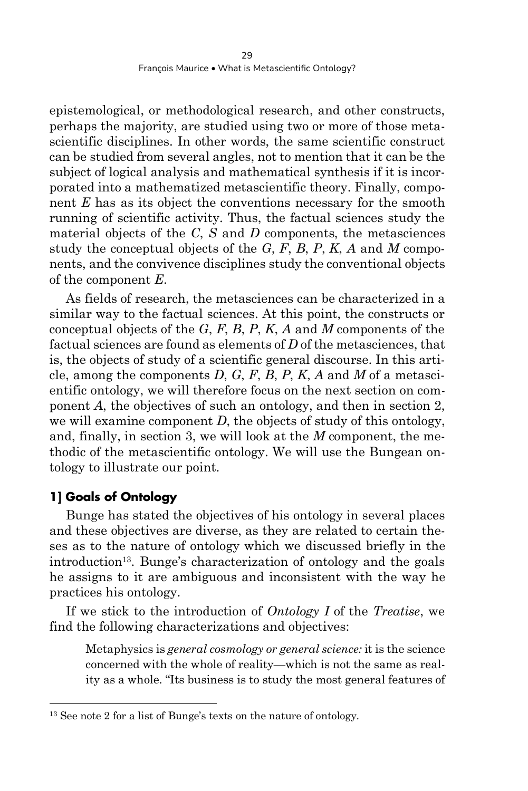epistemological, or methodological research, and other constructs, perhaps the majority, are studied using two or more of those metascientific disciplines. In other words, the same scientific construct can be studied from several angles, not to mention that it can be the subject of logical analysis and mathematical synthesis if it is incorporated into a mathematized metascientific theory. Finally, component *E* has as its object the conventions necessary for the smooth running of scientific activity. Thus, the factual sciences study the material objects of the *C*, *S* and *D* components, the metasciences study the conceptual objects of the *G*, *F*, *B*, *P*, *K*, *A* and *M* components, and the convivence disciplines study the conventional objects of the component *E*.

As fields of research, the metasciences can be characterized in a similar way to the factual sciences. At this point, the constructs or conceptual objects of the *G*, *F*, *B*, *P*, *K*, *A* and *M* components of the factual sciences are found as elements of *D* of the metasciences, that is, the objects of study of a scientific general discourse. In this article, among the components *D*, *G*, *F*, *B*, *P*, *K*, *A* and *M* of a metascientific ontology, we will therefore focus on the next section on component *A*, the objectives of such an ontology, and then in section 2, we will examine component *D*, the objects of study of this ontology, and, finally, in section 3, we will look at the *M* component, the methodic of the metascientific ontology. We will use the Bungean ontology to illustrate our point.

### **1] Goals of Ontology**

Bunge has stated the objectives of his ontology in several places and these objectives are diverse, as they are related to certain theses as to the nature of ontology which we discussed briefly in the introduction<sup>13</sup>. Bunge's characterization of ontology and the goals he assigns to it are ambiguous and inconsistent with the way he practices his ontology.

If we stick to the introduction of *Ontology I* of the *Treatise*, we find the following characterizations and objectives:

Metaphysics is *general cosmology or general science:* it is the science concerned with the whole of reality—which is not the same as reality as a whole. "Its business is to study the most general features of

<sup>13</sup> See note 2 for a list of Bunge's texts on the nature of ontology.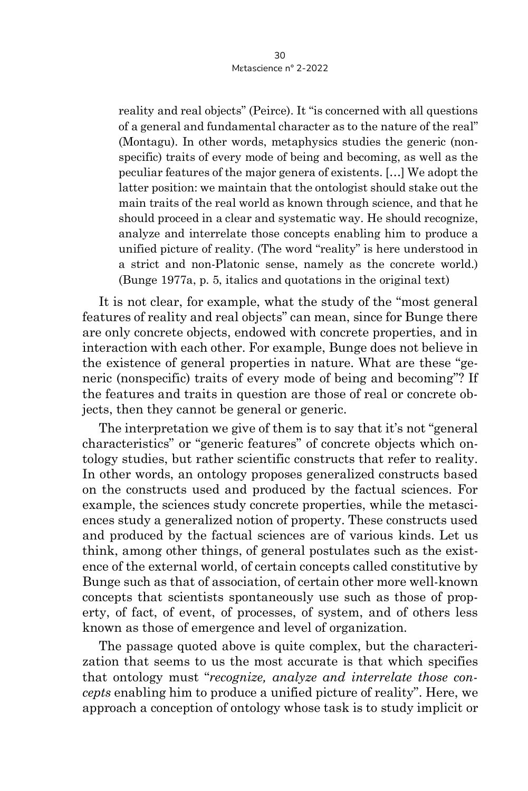reality and real objects" (Peirce). It "is concerned with all questions of a general and fundamental character as to the nature of the real" (Montagu). In other words, metaphysics studies the generic (nonspecific) traits of every mode of being and becoming, as well as the peculiar features of the major genera of existents. […] We adopt the latter position: we maintain that the ontologist should stake out the main traits of the real world as known through science, and that he should proceed in a clear and systematic way. He should recognize, analyze and interrelate those concepts enabling him to produce a unified picture of reality. (The word "reality" is here understood in a strict and non-Platonic sense, namely as the concrete world.) (Bunge 1977a, p. 5, italics and quotations in the original text)

It is not clear, for example, what the study of the "most general features of reality and real objects" can mean, since for Bunge there are only concrete objects, endowed with concrete properties, and in interaction with each other. For example, Bunge does not believe in the existence of general properties in nature. What are these "generic (nonspecific) traits of every mode of being and becoming"? If the features and traits in question are those of real or concrete objects, then they cannot be general or generic.

The interpretation we give of them is to say that it's not "general characteristics" or "generic features" of concrete objects which ontology studies, but rather scientific constructs that refer to reality. In other words, an ontology proposes generalized constructs based on the constructs used and produced by the factual sciences. For example, the sciences study concrete properties, while the metasciences study a generalized notion of property. These constructs used and produced by the factual sciences are of various kinds. Let us think, among other things, of general postulates such as the existence of the external world, of certain concepts called constitutive by Bunge such as that of association, of certain other more well-known concepts that scientists spontaneously use such as those of property, of fact, of event, of processes, of system, and of others less known as those of emergence and level of organization.

The passage quoted above is quite complex, but the characterization that seems to us the most accurate is that which specifies that ontology must "*recognize, analyze and interrelate those concepts* enabling him to produce a unified picture of reality". Here, we approach a conception of ontology whose task is to study implicit or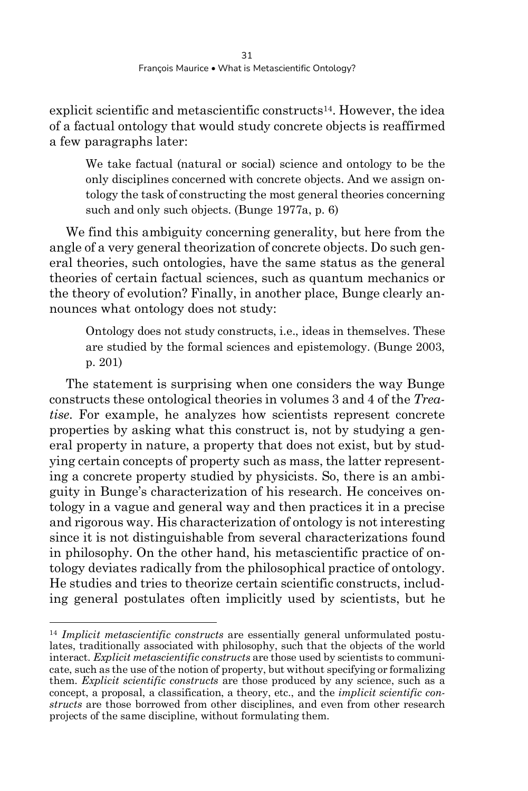explicit scientific and metascientific constructs<sup>14</sup>. However, the idea of a factual ontology that would study concrete objects is reaffirmed a few paragraphs later:

We take factual (natural or social) science and ontology to be the only disciplines concerned with concrete objects. And we assign ontology the task of constructing the most general theories concerning such and only such objects. (Bunge 1977a, p. 6)

We find this ambiguity concerning generality, but here from the angle of a very general theorization of concrete objects. Do such general theories, such ontologies, have the same status as the general theories of certain factual sciences, such as quantum mechanics or the theory of evolution? Finally, in another place, Bunge clearly announces what ontology does not study:

Ontology does not study constructs, i.e., ideas in themselves. These are studied by the formal sciences and epistemology. (Bunge 2003, p. 201)

The statement is surprising when one considers the way Bunge constructs these ontological theories in volumes 3 and 4 of the *Treatise*. For example, he analyzes how scientists represent concrete properties by asking what this construct is, not by studying a general property in nature, a property that does not exist, but by studying certain concepts of property such as mass, the latter representing a concrete property studied by physicists. So, there is an ambiguity in Bunge's characterization of his research. He conceives ontology in a vague and general way and then practices it in a precise and rigorous way. His characterization of ontology is not interesting since it is not distinguishable from several characterizations found in philosophy. On the other hand, his metascientific practice of ontology deviates radically from the philosophical practice of ontology. He studies and tries to theorize certain scientific constructs, including general postulates often implicitly used by scientists, but he

<sup>14</sup> *Implicit metascientific constructs* are essentially general unformulated postulates, traditionally associated with philosophy, such that the objects of the world interact. *Explicit metascientific constructs* are those used by scientists to communicate, such as the use of the notion of property, but without specifying or formalizing them. *Explicit scientific constructs* are those produced by any science, such as a concept, a proposal, a classification, a theory, etc., and the *implicit scientific constructs* are those borrowed from other disciplines, and even from other research projects of the same discipline, without formulating them.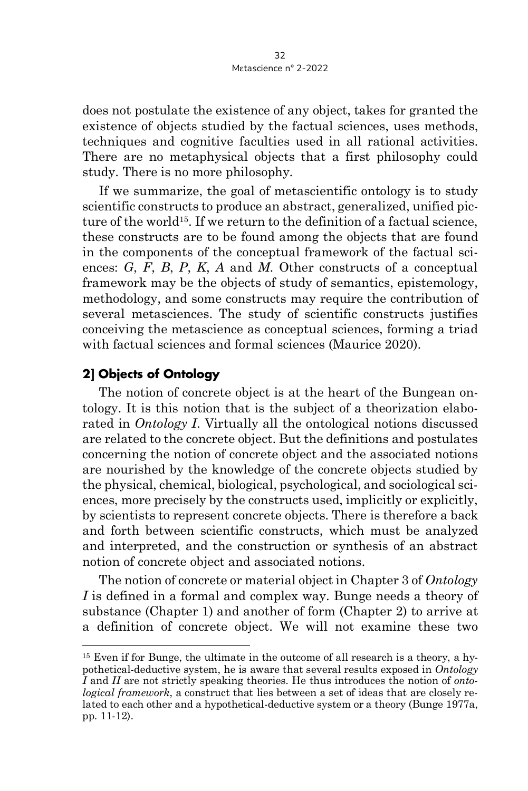does not postulate the existence of any object, takes for granted the existence of objects studied by the factual sciences, uses methods, techniques and cognitive faculties used in all rational activities. There are no metaphysical objects that a first philosophy could study. There is no more philosophy.

If we summarize, the goal of metascientific ontology is to study scientific constructs to produce an abstract, generalized, unified picture of the world<sup>15</sup>. If we return to the definition of a factual science, these constructs are to be found among the objects that are found in the components of the conceptual framework of the factual sciences: *G*, *F*, *B*, *P*, *K*, *A* and *M*. Other constructs of a conceptual framework may be the objects of study of semantics, epistemology, methodology, and some constructs may require the contribution of several metasciences. The study of scientific constructs justifies conceiving the metascience as conceptual sciences, forming a triad with factual sciences and formal sciences (Maurice 2020).

#### **2] Objects of Ontology**

The notion of concrete object is at the heart of the Bungean ontology. It is this notion that is the subject of a theorization elaborated in *Ontology I*. Virtually all the ontological notions discussed are related to the concrete object. But the definitions and postulates concerning the notion of concrete object and the associated notions are nourished by the knowledge of the concrete objects studied by the physical, chemical, biological, psychological, and sociological sciences, more precisely by the constructs used, implicitly or explicitly, by scientists to represent concrete objects. There is therefore a back and forth between scientific constructs, which must be analyzed and interpreted, and the construction or synthesis of an abstract notion of concrete object and associated notions.

The notion of concrete or material object in Chapter 3 of *Ontology I* is defined in a formal and complex way. Bunge needs a theory of substance (Chapter 1) and another of form (Chapter 2) to arrive at a definition of concrete object. We will not examine these two

<sup>15</sup> Even if for Bunge, the ultimate in the outcome of all research is a theory, a hypothetical-deductive system, he is aware that several results exposed in *Ontology I* and *II* are not strictly speaking theories. He thus introduces the notion of *ontological framework*, a construct that lies between a set of ideas that are closely related to each other and a hypothetical-deductive system or a theory (Bunge 1977a, pp. 11-12).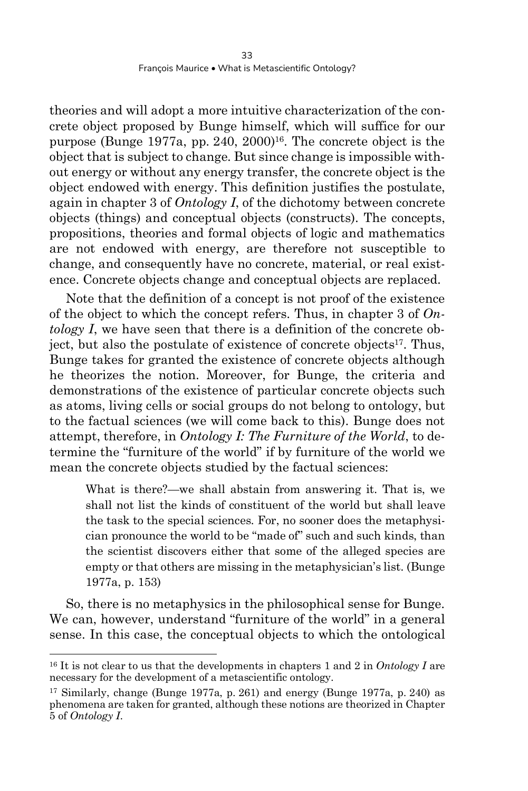theories and will adopt a more intuitive characterization of the concrete object proposed by Bunge himself, which will suffice for our purpose (Bunge 1977a, pp. 240, 2000)16. The concrete object is the object that is subject to change. But since change is impossible without energy or without any energy transfer, the concrete object is the object endowed with energy. This definition justifies the postulate, again in chapter 3 of *Ontology I*, of the dichotomy between concrete objects (things) and conceptual objects (constructs). The concepts, propositions, theories and formal objects of logic and mathematics are not endowed with energy, are therefore not susceptible to change, and consequently have no concrete, material, or real existence. Concrete objects change and conceptual objects are replaced.

Note that the definition of a concept is not proof of the existence of the object to which the concept refers. Thus, in chapter 3 of *Ontology I*, we have seen that there is a definition of the concrete object, but also the postulate of existence of concrete objects<sup>17</sup>. Thus, Bunge takes for granted the existence of concrete objects although he theorizes the notion. Moreover, for Bunge, the criteria and demonstrations of the existence of particular concrete objects such as atoms, living cells or social groups do not belong to ontology, but to the factual sciences (we will come back to this). Bunge does not attempt, therefore, in *Ontology I: The Furniture of the World*, to determine the "furniture of the world" if by furniture of the world we mean the concrete objects studied by the factual sciences:

What is there?—we shall abstain from answering it. That is, we shall not list the kinds of constituent of the world but shall leave the task to the special sciences. For, no sooner does the metaphysician pronounce the world to be "made of" such and such kinds, than the scientist discovers either that some of the alleged species are empty or that others are missing in the metaphysician's list. (Bunge 1977a, p. 153)

So, there is no metaphysics in the philosophical sense for Bunge. We can, however, understand "furniture of the world" in a general sense. In this case, the conceptual objects to which the ontological

<sup>16</sup> It is not clear to us that the developments in chapters 1 and 2 in *Ontology I* are necessary for the development of a metascientific ontology.

<sup>17</sup> Similarly, change (Bunge 1977a, p. 261) and energy (Bunge 1977a, p. 240) as phenomena are taken for granted, although these notions are theorized in Chapter 5 of *Ontology I*.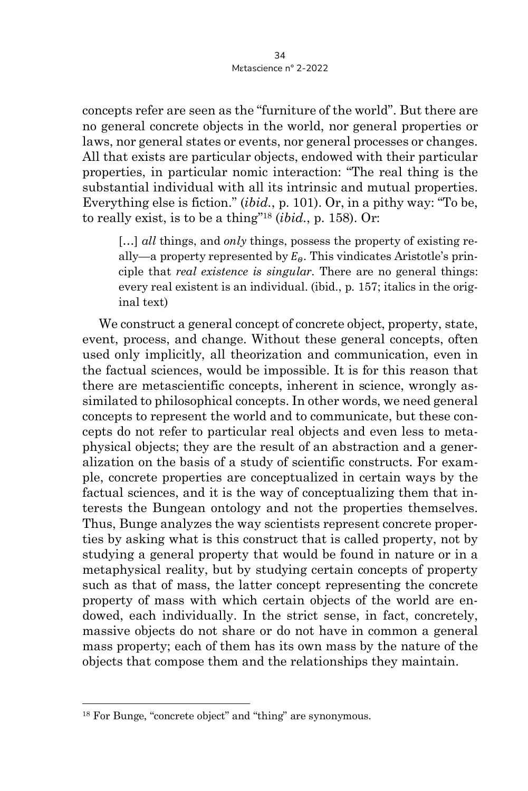concepts refer are seen as the "furniture of the world". But there are no general concrete objects in the world, nor general properties or laws, nor general states or events, nor general processes or changes. All that exists are particular objects, endowed with their particular properties, in particular nomic interaction: "The real thing is the substantial individual with all its intrinsic and mutual properties. Everything else is fiction." (*ibid.*, p. 101). Or, in a pithy way: "To be, to really exist, is to be a thing"18 (*ibid.*, p. 158). Or:

[…] *all* things, and *only* things, possess the property of existing really—a property represented by  $E_{\theta}$ . This vindicates Aristotle's principle that *real existence is singular.* There are no general things: every real existent is an individual. (ibid., p. 157; italics in the original text)

We construct a general concept of concrete object, property, state, event, process, and change. Without these general concepts, often used only implicitly, all theorization and communication, even in the factual sciences, would be impossible. It is for this reason that there are metascientific concepts, inherent in science, wrongly assimilated to philosophical concepts. In other words, we need general concepts to represent the world and to communicate, but these concepts do not refer to particular real objects and even less to metaphysical objects; they are the result of an abstraction and a generalization on the basis of a study of scientific constructs. For example, concrete properties are conceptualized in certain ways by the factual sciences, and it is the way of conceptualizing them that interests the Bungean ontology and not the properties themselves. Thus, Bunge analyzes the way scientists represent concrete properties by asking what is this construct that is called property, not by studying a general property that would be found in nature or in a metaphysical reality, but by studying certain concepts of property such as that of mass, the latter concept representing the concrete property of mass with which certain objects of the world are endowed, each individually. In the strict sense, in fact, concretely, massive objects do not share or do not have in common a general mass property; each of them has its own mass by the nature of the objects that compose them and the relationships they maintain.

<sup>18</sup> For Bunge, "concrete object" and "thing" are synonymous.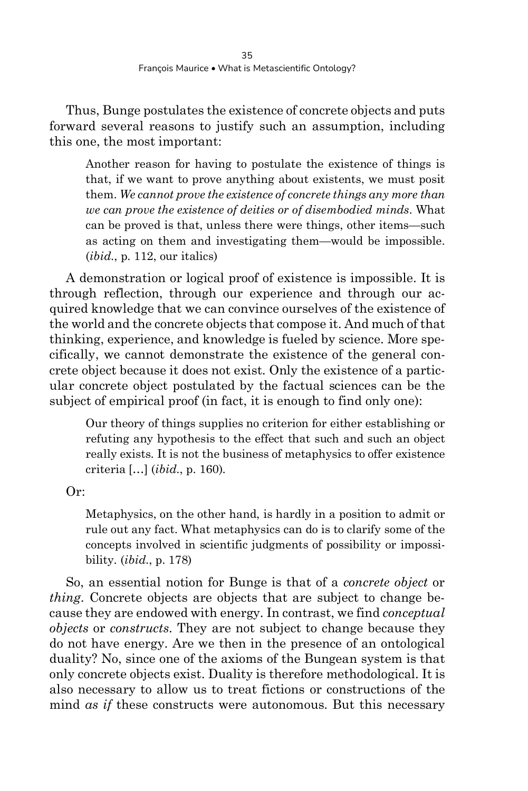Thus, Bunge postulates the existence of concrete objects and puts forward several reasons to justify such an assumption, including this one, the most important:

Another reason for having to postulate the existence of things is that, if we want to prove anything about existents, we must posit them. *We cannot prove the existence of concrete things any more than we can prove the existence of deities or of disembodied minds*. What can be proved is that, unless there were things, other items—such as acting on them and investigating them—would be impossible. (*ibid.*, p. 112, our italics)

A demonstration or logical proof of existence is impossible. It is through reflection, through our experience and through our acquired knowledge that we can convince ourselves of the existence of the world and the concrete objects that compose it. And much of that thinking, experience, and knowledge is fueled by science. More specifically, we cannot demonstrate the existence of the general concrete object because it does not exist. Only the existence of a particular concrete object postulated by the factual sciences can be the subject of empirical proof (in fact, it is enough to find only one):

Our theory of things supplies no criterion for either establishing or refuting any hypothesis to the effect that such and such an object really exists. It is not the business of metaphysics to offer existence criteria […] (*ibid*., p. 160).

Or:

Metaphysics, on the other hand, is hardly in a position to admit or rule out any fact. What metaphysics can do is to clarify some of the concepts involved in scientific judgments of possibility or impossibility. (*ibid*., p. 178)

So, an essential notion for Bunge is that of a *concrete object* or *thing*. Concrete objects are objects that are subject to change because they are endowed with energy. In contrast, we find *conceptual objects* or *constructs*. They are not subject to change because they do not have energy. Are we then in the presence of an ontological duality? No, since one of the axioms of the Bungean system is that only concrete objects exist. Duality is therefore methodological. It is also necessary to allow us to treat fictions or constructions of the mind *as if* these constructs were autonomous. But this necessary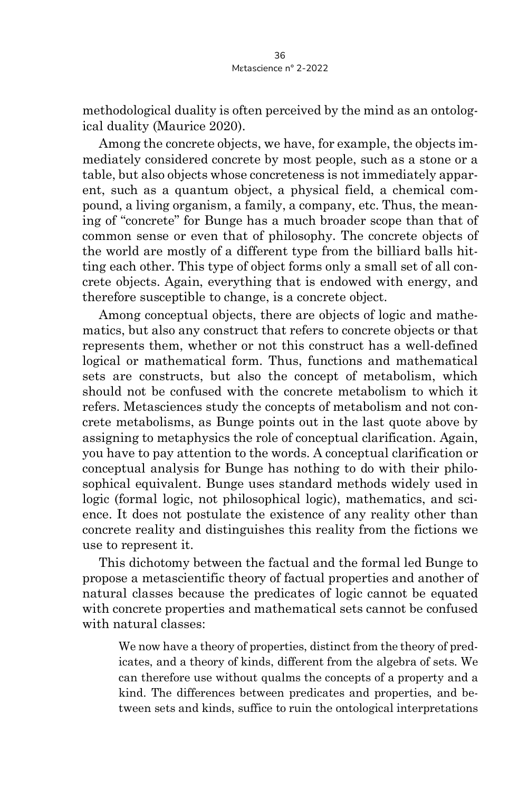methodological duality is often perceived by the mind as an ontological duality (Maurice 2020).

Among the concrete objects, we have, for example, the objects immediately considered concrete by most people, such as a stone or a table, but also objects whose concreteness is not immediately apparent, such as a quantum object, a physical field, a chemical compound, a living organism, a family, a company, etc. Thus, the meaning of "concrete" for Bunge has a much broader scope than that of common sense or even that of philosophy. The concrete objects of the world are mostly of a different type from the billiard balls hitting each other. This type of object forms only a small set of all concrete objects. Again, everything that is endowed with energy, and therefore susceptible to change, is a concrete object.

Among conceptual objects, there are objects of logic and mathematics, but also any construct that refers to concrete objects or that represents them, whether or not this construct has a well-defined logical or mathematical form. Thus, functions and mathematical sets are constructs, but also the concept of metabolism, which should not be confused with the concrete metabolism to which it refers. Metasciences study the concepts of metabolism and not concrete metabolisms, as Bunge points out in the last quote above by assigning to metaphysics the role of conceptual clarification. Again, you have to pay attention to the words. A conceptual clarification or conceptual analysis for Bunge has nothing to do with their philosophical equivalent. Bunge uses standard methods widely used in logic (formal logic, not philosophical logic), mathematics, and science. It does not postulate the existence of any reality other than concrete reality and distinguishes this reality from the fictions we use to represent it.

This dichotomy between the factual and the formal led Bunge to propose a metascientific theory of factual properties and another of natural classes because the predicates of logic cannot be equated with concrete properties and mathematical sets cannot be confused with natural classes:

We now have a theory of properties, distinct from the theory of predicates, and a theory of kinds, different from the algebra of sets. We can therefore use without qualms the concepts of a property and a kind. The differences between predicates and properties, and between sets and kinds, suffice to ruin the ontological interpretations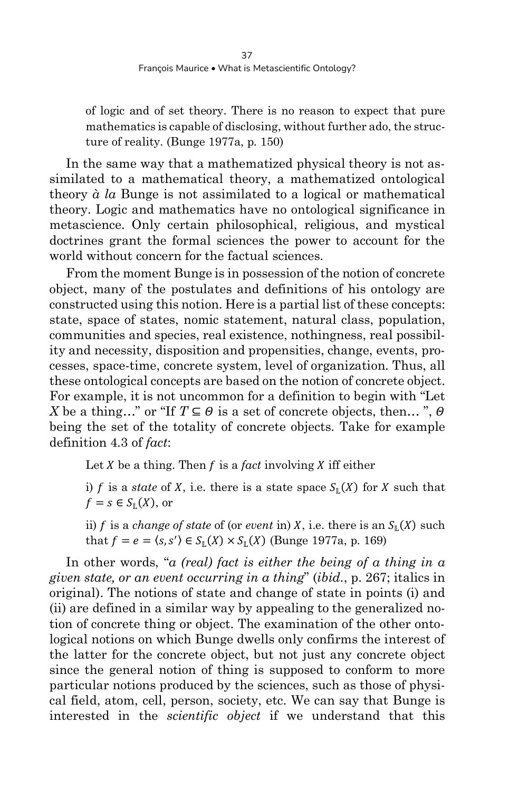of logic and of set theory. There is no reason to expect that pure mathematics is capable of disclosing, without further ado, the structure of reality. (Bunge 1977a, p. 150)

In the same way that a mathematized physical theory is not assimilated to a mathematical theory, a mathematized ontological theory *à la* Bunge is not assimilated to a logical or mathematical theory. Logic and mathematics have no ontological significance in metascience. Only certain philosophical, religious, and mystical doctrines grant the formal sciences the power to account for the world without concern for the factual sciences.

From the moment Bunge is in possession of the notion of concrete object, many of the postulates and definitions of his ontology are constructed using this notion. Here is a partial list of these concepts: state, space of states, nomic statement, natural class, population, communities and species, real existence, nothingness, real possibility and necessity, disposition and propensities, change, events, processes, space-time, concrete system, level of organization. Thus, all these ontological concepts are based on the notion of concrete object. For example, it is not uncommon for a definition to begin with "Let *X* be a thing..." or "If  $T \subseteq \Theta$  is a set of concrete objects, then...".  $\Theta$ being the set of the totality of concrete objects. Take for example definition 4.3 of *fact*:

Let  $X$  be a thing. Then  $f$  is a *fact* involving  $X$  iff either

i)  $f$  is a *state* of  $X$ , i.e. there is a state space  $S_{\mathbb{L}}(X)$  for  $X$  such that  $f = s \in S_{\mathbb{L}}(X)$ , or

ii)  $f$  is a *change of state* of (or *event* in)  $X$ , i.e. there is an  $S_{\mathbb{L}}(X)$  such that  $f = e = \langle s, s' \rangle \in S_{\mathbb{L}}(X) \times S_{\mathbb{L}}(X)$  (Bunge 1977a, p. 169)

In other words, "*a (real) fact is either the being of a thing in a given state, or an event occurring in a thing*" (*ibid.*, p. 267; italics in original). The notions of state and change of state in points (i) and (ii) are defined in a similar way by appealing to the generalized notion of concrete thing or object. The examination of the other ontological notions on which Bunge dwells only confirms the interest of the latter for the concrete object, but not just any concrete object since the general notion of thing is supposed to conform to more particular notions produced by the sciences, such as those of physical field, atom, cell, person, society, etc. We can say that Bunge is interested in the *scientific object* if we understand that this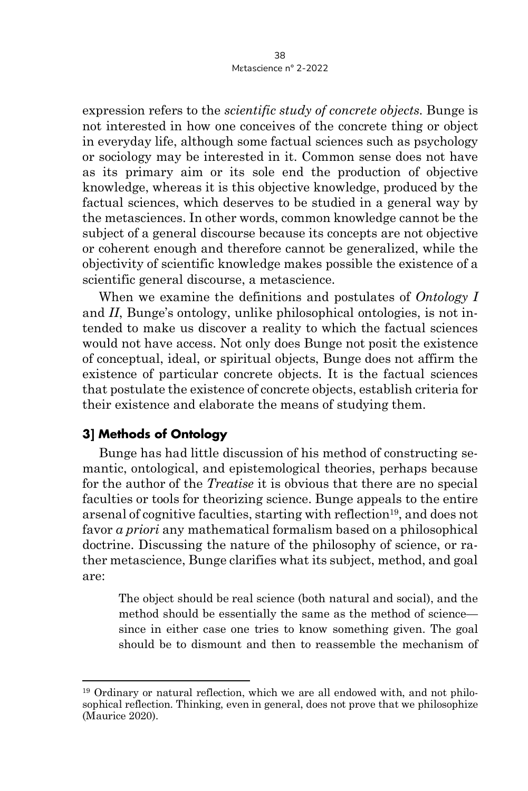expression refers to the *scientific study of concrete objects*. Bunge is not interested in how one conceives of the concrete thing or object in everyday life, although some factual sciences such as psychology or sociology may be interested in it. Common sense does not have as its primary aim or its sole end the production of objective knowledge, whereas it is this objective knowledge, produced by the factual sciences, which deserves to be studied in a general way by the metasciences. In other words, common knowledge cannot be the subject of a general discourse because its concepts are not objective or coherent enough and therefore cannot be generalized, while the objectivity of scientific knowledge makes possible the existence of a scientific general discourse, a metascience.

When we examine the definitions and postulates of *Ontology I* and *II*, Bunge's ontology, unlike philosophical ontologies, is not intended to make us discover a reality to which the factual sciences would not have access. Not only does Bunge not posit the existence of conceptual, ideal, or spiritual objects, Bunge does not affirm the existence of particular concrete objects. It is the factual sciences that postulate the existence of concrete objects, establish criteria for their existence and elaborate the means of studying them.

#### **3] Methods of Ontology**

Bunge has had little discussion of his method of constructing semantic, ontological, and epistemological theories, perhaps because for the author of the *Treatise* it is obvious that there are no special faculties or tools for theorizing science. Bunge appeals to the entire arsenal of cognitive faculties, starting with reflection<sup>19</sup>, and does not favor *a priori* any mathematical formalism based on a philosophical doctrine. Discussing the nature of the philosophy of science, or rather metascience, Bunge clarifies what its subject, method, and goal are:

The object should be real science (both natural and social), and the method should be essentially the same as the method of science since in either case one tries to know something given. The goal should be to dismount and then to reassemble the mechanism of

<sup>19</sup> Ordinary or natural reflection, which we are all endowed with, and not philosophical reflection. Thinking, even in general, does not prove that we philosophize (Maurice 2020).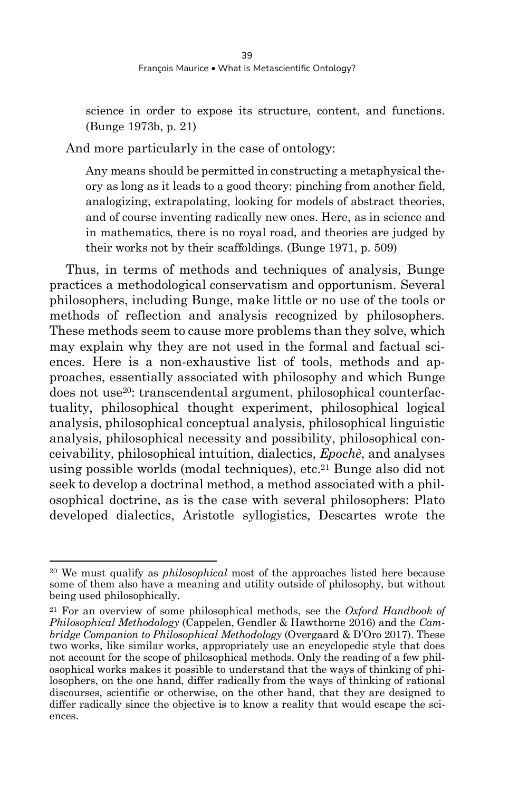science in order to expose its structure, content, and functions. (Bunge 1973b, p. 21)

And more particularly in the case of ontology:

Any means should be permitted in constructing a metaphysical theory as long as it leads to a good theory: pinching from another field, analogizing, extrapolating, looking for models of abstract theories, and of course inventing radically new ones. Here, as in science and in mathematics, there is no royal road, and theories are judged by their works not by their scaffoldings. (Bunge 1971, p. 509)

Thus, in terms of methods and techniques of analysis, Bunge practices a methodological conservatism and opportunism. Several philosophers, including Bunge, make little or no use of the tools or methods of reflection and analysis recognized by philosophers. These methods seem to cause more problems than they solve, which may explain why they are not used in the formal and factual sciences. Here is a non-exhaustive list of tools, methods and approaches, essentially associated with philosophy and which Bunge does not use20: transcendental argument, philosophical counterfactuality, philosophical thought experiment, philosophical logical analysis, philosophical conceptual analysis, philosophical linguistic analysis, philosophical necessity and possibility, philosophical conceivability, philosophical intuition, dialectics, *Epochè*, and analyses using possible worlds (modal techniques), etc.21 Bunge also did not seek to develop a doctrinal method, a method associated with a philosophical doctrine, as is the case with several philosophers: Plato developed dialectics, Aristotle syllogistics, Descartes wrote the

<sup>20</sup> We must qualify as *philosophical* most of the approaches listed here because some of them also have a meaning and utility outside of philosophy, but without being used philosophically.

<sup>21</sup> For an overview of some philosophical methods, see the *Oxford Handbook of Philosophical Methodology* (Cappelen, Gendler & Hawthorne 2016) and the *Cambridge Companion to Philosophical Methodology* (Overgaard & D'Oro 2017). These two works, like similar works, appropriately use an encyclopedic style that does not account for the scope of philosophical methods. Only the reading of a few philosophical works makes it possible to understand that the ways of thinking of philosophers, on the one hand, differ radically from the ways of thinking of rational discourses, scientific or otherwise, on the other hand, that they are designed to differ radically since the objective is to know a reality that would escape the sciences.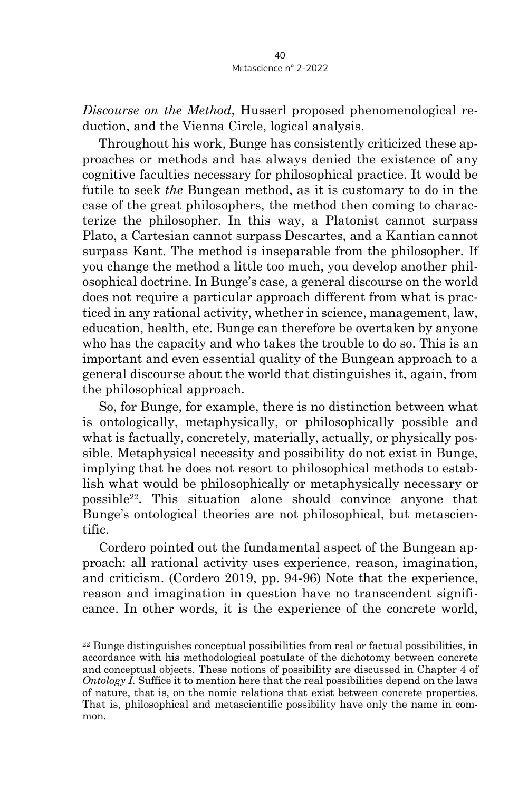*Discourse on the Method*, Husserl proposed phenomenological reduction, and the Vienna Circle, logical analysis.

Throughout his work, Bunge has consistently criticized these approaches or methods and has always denied the existence of any cognitive faculties necessary for philosophical practice. It would be futile to seek *the* Bungean method, as it is customary to do in the case of the great philosophers, the method then coming to characterize the philosopher. In this way, a Platonist cannot surpass Plato, a Cartesian cannot surpass Descartes, and a Kantian cannot surpass Kant. The method is inseparable from the philosopher. If you change the method a little too much, you develop another philosophical doctrine. In Bunge's case, a general discourse on the world does not require a particular approach different from what is practiced in any rational activity, whether in science, management, law, education, health, etc. Bunge can therefore be overtaken by anyone who has the capacity and who takes the trouble to do so. This is an important and even essential quality of the Bungean approach to a general discourse about the world that distinguishes it, again, from the philosophical approach.

So, for Bunge, for example, there is no distinction between what is ontologically, metaphysically, or philosophically possible and what is factually, concretely, materially, actually, or physically possible. Metaphysical necessity and possibility do not exist in Bunge, implying that he does not resort to philosophical methods to establish what would be philosophically or metaphysically necessary or possible22. This situation alone should convince anyone that Bunge's ontological theories are not philosophical, but metascientific.

Cordero pointed out the fundamental aspect of the Bungean approach: all rational activity uses experience, reason, imagination, and criticism. (Cordero 2019, pp. 94-96) Note that the experience, reason and imagination in question have no transcendent significance. In other words, it is the experience of the concrete world,

<sup>22</sup> Bunge distinguishes conceptual possibilities from real or factual possibilities, in accordance with his methodological postulate of the dichotomy between concrete and conceptual objects. These notions of possibility are discussed in Chapter 4 of *Ontology I*. Suffice it to mention here that the real possibilities depend on the laws of nature, that is, on the nomic relations that exist between concrete properties. That is, philosophical and metascientific possibility have only the name in common.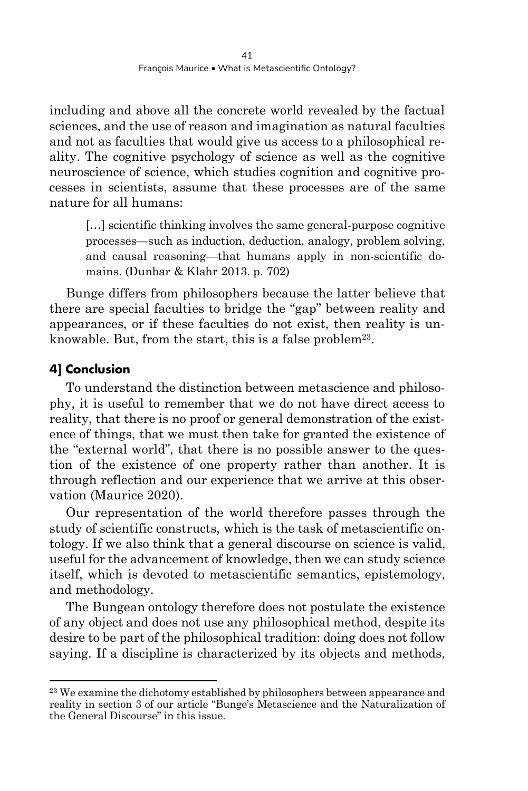including and above all the concrete world revealed by the factual sciences, and the use of reason and imagination as natural faculties and not as faculties that would give us access to a philosophical reality. The cognitive psychology of science as well as the cognitive neuroscience of science, which studies cognition and cognitive processes in scientists, assume that these processes are of the same nature for all humans:

[...] scientific thinking involves the same general-purpose cognitive processes—such as induction, deduction, analogy, problem solving, and causal reasoning—that humans apply in non-scientific domains. (Dunbar & Klahr 2013. p. 702)

Bunge differs from philosophers because the latter believe that there are special faculties to bridge the "gap" between reality and appearances, or if these faculties do not exist, then reality is unknowable. But, from the start, this is a false problem<sup>23</sup>.

## **4] Conclusion**

To understand the distinction between metascience and philosophy, it is useful to remember that we do not have direct access to reality, that there is no proof or general demonstration of the existence of things, that we must then take for granted the existence of the "external world", that there is no possible answer to the question of the existence of one property rather than another. It is through reflection and our experience that we arrive at this observation (Maurice 2020).

Our representation of the world therefore passes through the study of scientific constructs, which is the task of metascientific ontology. If we also think that a general discourse on science is valid, useful for the advancement of knowledge, then we can study science itself, which is devoted to metascientific semantics, epistemology, and methodology.

The Bungean ontology therefore does not postulate the existence of any object and does not use any philosophical method, despite its desire to be part of the philosophical tradition: doing does not follow saying. If a discipline is characterized by its objects and methods,

<sup>&</sup>lt;sup>23</sup> We examine the dichotomy established by philosophers between appearance and reality in section 3 of our article "Bunge's Metascience and the Naturalization of the General Discourse" in this issue.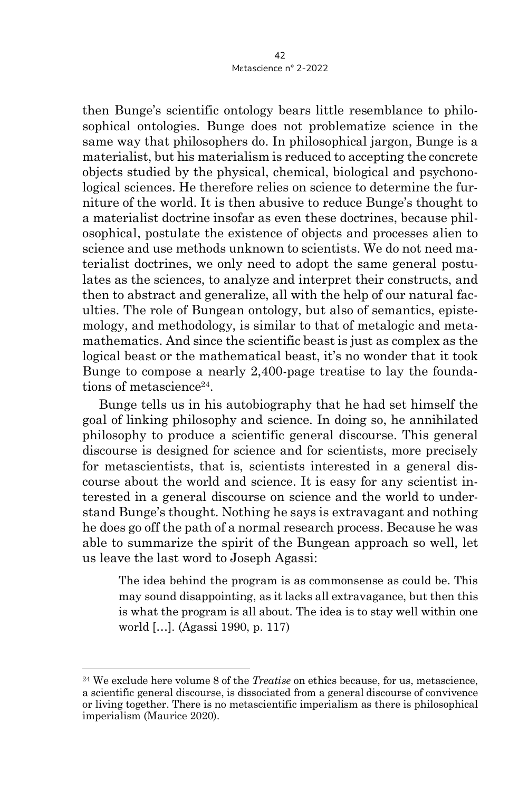then Bunge's scientific ontology bears little resemblance to philosophical ontologies. Bunge does not problematize science in the same way that philosophers do. In philosophical jargon, Bunge is a materialist, but his materialism is reduced to accepting the concrete objects studied by the physical, chemical, biological and psychonological sciences. He therefore relies on science to determine the furniture of the world. It is then abusive to reduce Bunge's thought to a materialist doctrine insofar as even these doctrines, because philosophical, postulate the existence of objects and processes alien to science and use methods unknown to scientists. We do not need materialist doctrines, we only need to adopt the same general postulates as the sciences, to analyze and interpret their constructs, and then to abstract and generalize, all with the help of our natural faculties. The role of Bungean ontology, but also of semantics, epistemology, and methodology, is similar to that of metalogic and metamathematics. And since the scientific beast is just as complex as the logical beast or the mathematical beast, it's no wonder that it took Bunge to compose a nearly 2,400-page treatise to lay the foundations of metascience<sup>24</sup>.

Bunge tells us in his autobiography that he had set himself the goal of linking philosophy and science. In doing so, he annihilated philosophy to produce a scientific general discourse. This general discourse is designed for science and for scientists, more precisely for metascientists, that is, scientists interested in a general discourse about the world and science. It is easy for any scientist interested in a general discourse on science and the world to understand Bunge's thought. Nothing he says is extravagant and nothing he does go off the path of a normal research process. Because he was able to summarize the spirit of the Bungean approach so well, let us leave the last word to Joseph Agassi:

The idea behind the program is as commonsense as could be. This may sound disappointing, as it lacks all extravagance, but then this is what the program is all about. The idea is to stay well within one world […]. (Agassi 1990, p. 117)

<sup>24</sup> We exclude here volume 8 of the *Treatise* on ethics because, for us, metascience, a scientific general discourse, is dissociated from a general discourse of convivence or living together. There is no metascientific imperialism as there is philosophical imperialism (Maurice 2020).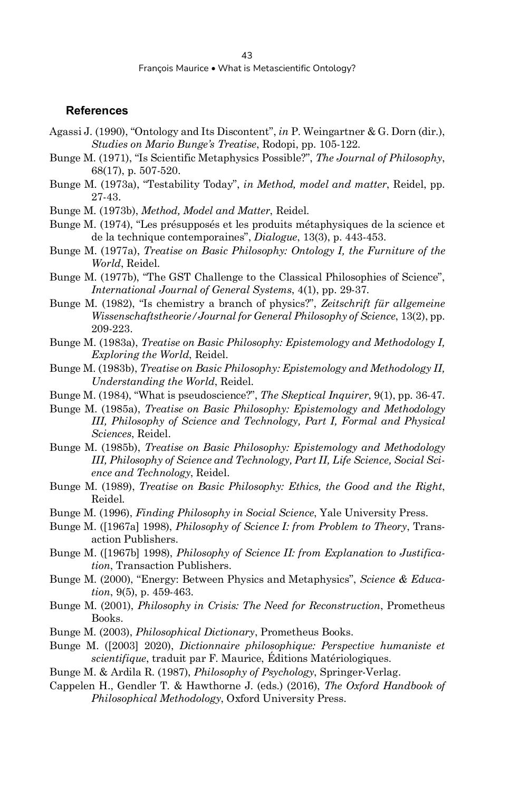#### **References**

- Agassi J. (1990), "Ontology and Its Discontent", *in* P. Weingartner & G. Dorn (dir.), *Studies on Mario Bunge's Treatise*, Rodopi, pp. 105-122.
- Bunge M. (1971), "Is Scientific Metaphysics Possible?", *The Journal of Philosophy*, 68(17), p. 507-520.
- Bunge M. (1973a), "Testability Today", *in Method, model and matter*, Reidel, pp. 27-43.
- Bunge M. (1973b), *Method, Model and Matter*, Reidel.
- Bunge M. (1974), "Les présupposés et les produits métaphysiques de la science et de la technique contemporaines", *Dialogue*, 13(3), p. 443-453.
- Bunge M. (1977a), *Treatise on Basic Philosophy: Ontology I, the Furniture of the World*, Reidel.
- Bunge M. (1977b), "The GST Challenge to the Classical Philosophies of Science", *International Journal of General Systems*, 4(1), pp. 29-37.
- Bunge M. (1982), "Is chemistry a branch of physics?", *Zeitschrift für allgemeine Wissenschaftstheorie/Journal for General Philosophy of Science*, 13(2), pp. 209-223.
- Bunge M. (1983a), *Treatise on Basic Philosophy: Epistemology and Methodology I, Exploring the World*, Reidel.
- Bunge M. (1983b), *Treatise on Basic Philosophy: Epistemology and Methodology II, Understanding the World*, Reidel.
- Bunge M. (1984), "What is pseudoscience?", *The Skeptical Inquirer*, 9(1), pp. 36-47.
- Bunge M. (1985a), *Treatise on Basic Philosophy: Epistemology and Methodology III, Philosophy of Science and Technology, Part I, Formal and Physical Sciences*, Reidel.
- Bunge M. (1985b), *Treatise on Basic Philosophy: Epistemology and Methodology III, Philosophy of Science and Technology, Part II, Life Science, Social Science and Technology*, Reidel.
- Bunge M. (1989), *Treatise on Basic Philosophy: Ethics, the Good and the Right*, Reidel.
- Bunge M. (1996), *Finding Philosophy in Social Science*, Yale University Press.
- Bunge M. ([1967a] 1998), *Philosophy of Science I: from Problem to Theory*, Transaction Publishers.
- Bunge M. ([1967b] 1998), *Philosophy of Science II: from Explanation to Justification*, Transaction Publishers.
- Bunge M. (2000), "Energy: Between Physics and Metaphysics", *Science & Education*, 9(5), p. 459-463.
- Bunge M. (2001), *Philosophy in Crisis: The Need for Reconstruction*, Prometheus Books.
- Bunge M. (2003), *Philosophical Dictionary*, Prometheus Books.
- Bunge M. ([2003] 2020), *Dictionnaire philosophique: Perspective humaniste et scientifique*, traduit par F. Maurice, Éditions Matériologiques.
- Bunge M. & Ardila R. (1987), *Philosophy of Psychology*, Springer-Verlag.
- Cappelen H., Gendler T. & Hawthorne J. (eds.) (2016), *The Oxford Handbook of Philosophical Methodology*, Oxford University Press.